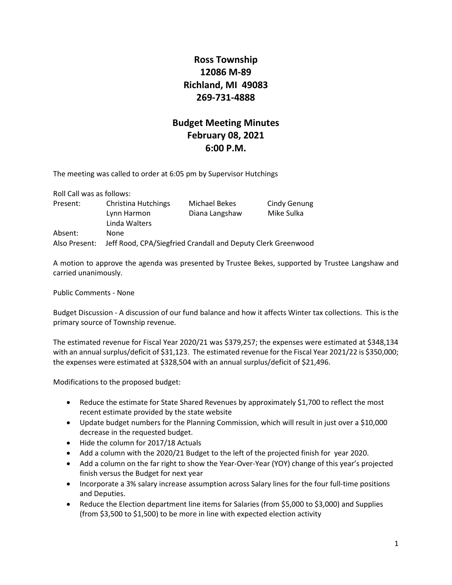## **Ross Township 12086 M-89 Richland, MI 49083 269-731-4888**

## **Budget Meeting Minutes February 08, 2021 6:00 P.M.**

The meeting was called to order at 6:05 pm by Supervisor Hutchings

| Roll Call was as follows: |                                                              |                |              |
|---------------------------|--------------------------------------------------------------|----------------|--------------|
| Present:                  | <b>Christina Hutchings</b>                                   | Michael Bekes  | Cindy Genung |
|                           | Lynn Harmon                                                  | Diana Langshaw | Mike Sulka   |
|                           | Linda Walters                                                |                |              |
| Absent:                   | None                                                         |                |              |
| Also Present:             | Jeff Rood, CPA/Siegfried Crandall and Deputy Clerk Greenwood |                |              |

A motion to approve the agenda was presented by Trustee Bekes, supported by Trustee Langshaw and carried unanimously.

Public Comments - None

Budget Discussion - A discussion of our fund balance and how it affects Winter tax collections. This is the primary source of Township revenue.

The estimated revenue for Fiscal Year 2020/21 was \$379,257; the expenses were estimated at \$348,134 with an annual surplus/deficit of \$31,123. The estimated revenue for the Fiscal Year 2021/22 is \$350,000; the expenses were estimated at \$328,504 with an annual surplus/deficit of \$21,496.

Modifications to the proposed budget:

- Reduce the estimate for State Shared Revenues by approximately \$1,700 to reflect the most recent estimate provided by the state website
- Update budget numbers for the Planning Commission, which will result in just over a \$10,000 decrease in the requested budget.
- Hide the column for 2017/18 Actuals
- Add a column with the 2020/21 Budget to the left of the projected finish for year 2020.
- Add a column on the far right to show the Year-Over-Year (YOY) change of this year's projected finish versus the Budget for next year
- Incorporate a 3% salary increase assumption across Salary lines for the four full-time positions and Deputies.
- Reduce the Election department line items for Salaries (from \$5,000 to \$3,000) and Supplies (from \$3,500 to \$1,500) to be more in line with expected election activity